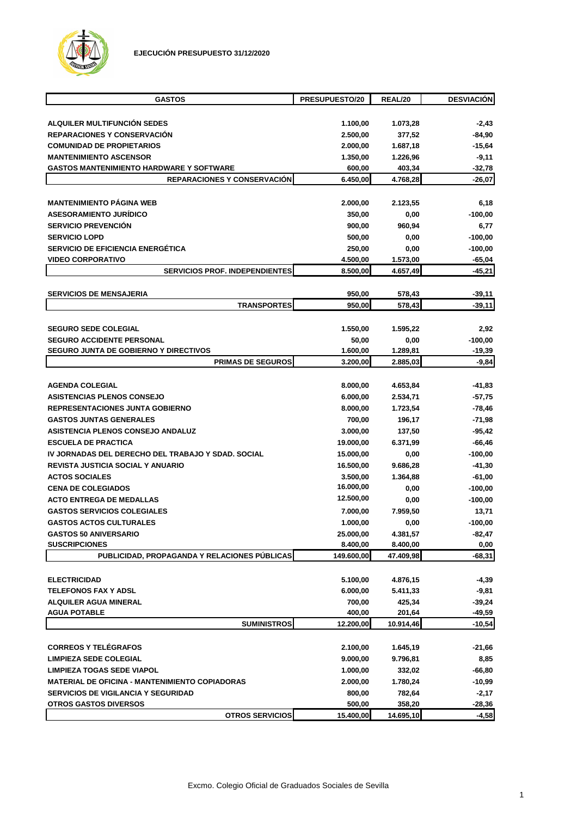

| <b>GASTOS</b>                                         | PRESUPUESTO/20   | REAL/20          | <b>DESVIACIÓN</b> |
|-------------------------------------------------------|------------------|------------------|-------------------|
|                                                       |                  |                  |                   |
| ALQUILER MULTIFUNCIÓN SEDES                           | 1.100,00         | 1.073,28         | $-2,43$           |
| <b>REPARACIONES Y CONSERVACIÓN</b>                    | 2.500,00         | 377,52           | $-84,90$          |
| <b>COMUNIDAD DE PROPIETARIOS</b>                      | 2.000,00         | 1.687,18         | $-15,64$          |
| <b>MANTENIMIENTO ASCENSOR</b>                         | 1.350,00         | 1.226,96         | -9,11             |
| <b>GASTOS MANTENIMIENTO HARDWARE Y SOFTWARE</b>       | 600,00           | 403,34           | $-32,78$          |
| <b>REPARACIONES Y CONSERVACION</b>                    | 6.450,00         | 4.768,28         | $-26,07$          |
| <b>MANTENIMIENTO PÁGINA WEB</b>                       | 2.000,00         | 2.123,55         | 6,18              |
| <b>ASESORAMIENTO JURÍDICO</b>                         | 350,00           | 0,00             | -100,00           |
| <b>SERVICIO PREVENCIÓN</b>                            | 900,00           | 960,94           | 6,77              |
| <b>SERVICIO LOPD</b>                                  | 500,00           | 0,00             | $-100,00$         |
| SERVICIO DE EFICIENCIA ENERGÉTICA                     | 250,00           | 0,00             | $-100,00$         |
| <b>VIDEO CORPORATIVO</b>                              | 4.500,00         | 1.573,00         | $-65,04$          |
| <b>SERVICIOS PROF. INDEPENDIENTES</b>                 | 8.500,00         | 4.657,49         | $-45,21$          |
|                                                       |                  |                  |                   |
| <b>SERVICIOS DE MENSAJERIA</b><br><b>TRANSPORTES</b>  | 950,00<br>950,00 | 578,43<br>578,43 | $-39,11$          |
|                                                       |                  |                  | $-39,11$          |
| <b>SEGURO SEDE COLEGIAL</b>                           | 1.550,00         | 1.595,22         | 2,92              |
| <b>SEGURO ACCIDENTE PERSONAL</b>                      | 50,00            | 0,00             | $-100,00$         |
| <b>SEGURO JUNTA DE GOBIERNO Y DIRECTIVOS</b>          | 1.600,00         | 1.289,81         | $-19,39$          |
| <b>PRIMAS DE SEGUROS</b>                              | 3.200,00         | 2.885,03         | $-9,84$           |
|                                                       |                  |                  |                   |
| <b>AGENDA COLEGIAL</b>                                | 8.000,00         | 4.653,84         | -41,83            |
| <b>ASISTENCIAS PLENOS CONSEJO</b>                     | 6.000,00         | 2.534,71         | $-57,75$          |
| <b>REPRESENTACIONES JUNTA GOBIERNO</b>                | 8.000,00         | 1.723,54         | $-78,46$          |
| <b>GASTOS JUNTAS GENERALES</b>                        | 700,00           | 196,17           | $-71,98$          |
| ASISTENCIA PLENOS CONSEJO ANDALUZ                     | 3.000,00         | 137,50           | $-95,42$          |
| <b>ESCUELA DE PRACTICA</b>                            | 19.000,00        | 6.371,99         | $-66,46$          |
| IV JORNADAS DEL DERECHO DEL TRABAJO Y SDAD. SOCIAL    | 15.000,00        | 0,00             | $-100,00$         |
| <b>REVISTA JUSTICIA SOCIAL Y ANUARIO</b>              | 16.500,00        | 9.686,28         | $-41,30$          |
| <b>ACTOS SOCIALES</b>                                 | 3.500,00         | 1.364,88         | $-61,00$          |
| <b>CENA DE COLEGIADOS</b>                             | 16.000,00        | 0,00             | $-100,00$         |
| <b>ACTO ENTREGA DE MEDALLAS</b>                       | 12.500,00        | 0,00             | $-100,00$         |
| <b>GASTOS SERVICIOS COLEGIALES</b>                    | 7.000,00         | 7.959,50         | 13,71             |
| <b>GASTOS ACTOS CULTURALES</b>                        | 1.000,00         | 0,00             | $-100,00$         |
| <b>GASTOS 50 ANIVERSARIO</b>                          | 25.000,00        | 4.381,57         | -82,47            |
| <b>SUSCRIPCIONES</b>                                  | 8.400,00         | 8.400,00         | 0,00              |
| PUBLICIDAD, PROPAGANDA Y RELACIONES PÚBLICAS          | 149.600,00       | 47.409,98        | $-68,31$          |
| <b>ELECTRICIDAD</b>                                   | 5.100,00         | 4.876,15         | -4,39             |
| <b>TELEFONOS FAX Y ADSL</b>                           | 6.000,00         | 5.411,33         | -9,81             |
| <b>ALQUILER AGUA MINERAL</b>                          | 700,00           | 425,34           | $-39,24$          |
| <b>AGUA POTABLE</b>                                   | 400,00           | 201,64           | -49,59            |
| <b>SUMINISTROS</b>                                    | 12.200,00        | 10.914,46        | $-10,54$          |
|                                                       |                  |                  |                   |
| <b>CORREOS Y TELÉGRAFOS</b>                           | 2.100,00         | 1.645,19         | -21,66            |
| <b>LIMPIEZA SEDE COLEGIAL</b>                         | 9.000,00         | 9.796,81         | 8,85              |
| <b>LIMPIEZA TOGAS SEDE VIAPOL</b>                     | 1.000,00         | 332,02           | $-66,80$          |
| <b>MATERIAL DE OFICINA - MANTENIMIENTO COPIADORAS</b> | 2.000,00         | 1.780,24         | $-10,99$          |
| <b>SERVICIOS DE VIGILANCIA Y SEGURIDAD</b>            | 800,00           | 782,64           | $-2,17$           |
| <b>OTROS GASTOS DIVERSOS</b>                          | 500,00           | 358,20           | $-28,36$          |
| <b>OTROS SERVICIOS</b>                                | 15.400,00        | 14.695,10        | $-4,58$           |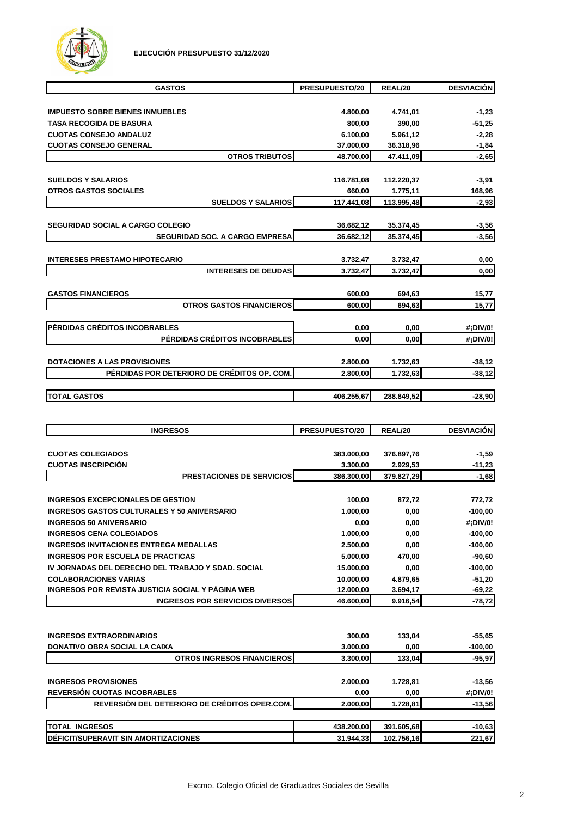

| <b>GASTOS</b>                               | PRESUPUESTO/20 | REAL/20    | <b>DESVIACIÓN</b> |
|---------------------------------------------|----------------|------------|-------------------|
|                                             |                |            |                   |
| <b>IMPUESTO SOBRE BIENES INMUEBLES</b>      | 4.800,00       | 4.741,01   | $-1,23$           |
| <b>TASA RECOGIDA DE BASURA</b>              | 800,00         | 390,00     | $-51,25$          |
| <b>CUOTAS CONSEJO ANDALUZ</b>               | 6.100,00       | 5.961,12   | $-2,28$           |
| <b>CUOTAS CONSEJO GENERAL</b>               | 37.000,00      | 36.318,96  | $-1,84$           |
| <b>OTROS TRIBUTOS</b>                       | 48.700,00      | 47.411,09  | $-2,65$           |
|                                             |                |            |                   |
| <b>SUELDOS Y SALARIOS</b>                   | 116.781,08     | 112.220,37 | $-3,91$           |
| <b>OTROS GASTOS SOCIALES</b>                | 660,00         | 1.775,11   | 168,96            |
| <b>SUELDOS Y SALARIOS</b>                   | 117.441,08     | 113.995,48 | $-2,93$           |
|                                             |                |            |                   |
| <b>SEGURIDAD SOCIAL A CARGO COLEGIO</b>     | 36.682,12      | 35.374,45  | $-3,56$           |
| <b>SEGURIDAD SOC. A CARGO EMPRESA</b>       | 36.682,12      | 35.374,45  | $-3,56$           |
|                                             |                |            |                   |
| <b>INTERESES PRESTAMO HIPOTECARIO</b>       | 3.732,47       | 3.732,47   | 0,00              |
| <b>INTERESES DE DEUDAS</b>                  | 3.732,47       | 3.732,47   | 0,00              |
|                                             |                |            |                   |
| <b>GASTOS FINANCIEROS</b>                   | 600,00         | 694,63     | 15,77             |
| <b>OTROS GASTOS FINANCIEROS</b>             | 600,00         | 694,63     | 15,77             |
|                                             |                |            |                   |
| PÉRDIDAS CRÉDITOS INCOBRABLES               | 0,00           | 0,00       | #¡DIV/0!          |
| PÉRDIDAS CRÉDITOS INCOBRABLES               | 0,00           | 0,00       | #¡DIV/0!          |
|                                             |                |            |                   |
| <b>DOTACIONES A LAS PROVISIONES</b>         | 2.800,00       | 1.732,63   | $-38,12$          |
| PÉRDIDAS POR DETERIORO DE CRÉDITOS OP. COM. | 2.800,00       | 1.732,63   | $-38,12$          |
|                                             |                |            |                   |
| <b>TOTAL GASTOS</b>                         | 406.255,67     | 288.849,52 | $-28,90$          |
|                                             |                |            |                   |

| <b>INGRESOS</b>                                    | PRESUPUESTO/20 | REAL/20    | <b>DESVIACIÓN</b> |
|----------------------------------------------------|----------------|------------|-------------------|
|                                                    |                |            |                   |
| <b>CUOTAS COLEGIADOS</b>                           | 383.000,00     | 376.897,76 | $-1,59$           |
| <b>CUOTAS INSCRIPCIÓN</b>                          | 3.300,00       | 2.929,53   | $-11,23$          |
| <b>PRESTACIONES DE SERVICIOS</b>                   | 386.300,00     | 379.827,29 | $-1,68$           |
|                                                    |                |            |                   |
| <b>INGRESOS EXCEPCIONALES DE GESTION</b>           | 100,00         | 872,72     | 772,72            |
| <b>INGRESOS GASTOS CULTURALES Y 50 ANIVERSARIO</b> | 1.000.00       | 0.00       | $-100,00$         |
| <b>INGRESOS 50 ANIVERSARIO</b>                     | 0,00           | 0,00       | #¡DIV/0!          |
| <b>INGRESOS CENA COLEGIADOS</b>                    | 1.000,00       | 0.00       | $-100,00$         |
| <b>INGRESOS INVITACIONES ENTREGA MEDALLAS</b>      | 2.500,00       | 0,00       | $-100,00$         |
| <b>INGRESOS POR ESCUELA DE PRACTICAS</b>           | 5.000,00       | 470,00     | $-90,60$          |
| IV JORNADAS DEL DERECHO DEL TRABAJO Y SDAD, SOCIAL | 15.000,00      | 0,00       | $-100,00$         |
| <b>COLABORACIONES VARIAS</b>                       | 10.000,00      | 4.879,65   | $-51,20$          |
| INGRESOS POR REVISTA JUSTICIA SOCIAL Y PÁGINA WEB  | 12.000,00      | 3.694,17   | $-69,22$          |
| <b>INGRESOS POR SERVICIOS DIVERSOS</b>             | 46.600,00      | 9.916,54   | $-78,72$          |
|                                                    |                |            |                   |
|                                                    |                |            |                   |
| <b>INGRESOS EXTRAORDINARIOS</b>                    | 300,00         | 133,04     | $-55,65$          |
| <b>DONATIVO OBRA SOCIAL LA CAIXA</b>               | 3.000,00       | 0,00       | $-100,00$         |
| <b>OTROS INGRESOS FINANCIEROS</b>                  | 3.300,00       | 133,04     | $-95,97$          |
|                                                    |                |            |                   |
| <b>INGRESOS PROVISIONES</b>                        | 2.000,00       | 1.728,81   | $-13,56$          |
| <b>REVERSIÓN CUOTAS INCOBRABLES</b>                | 0,00           | 0,00       | #¡DIV/0!          |
| REVERSIÓN DEL DETERIORO DE CRÉDITOS OPER.COM.      | 2.000,00       | 1.728,81   | $-13,56$          |
|                                                    |                |            |                   |
| <b>TOTAL INGRESOS</b>                              | 438.200,00     | 391.605,68 | $-10,63$          |
| DÉFICIT/SUPERAVIT SIN AMORTIZACIONES               | 31.944,33      | 102.756,16 | 221,67            |